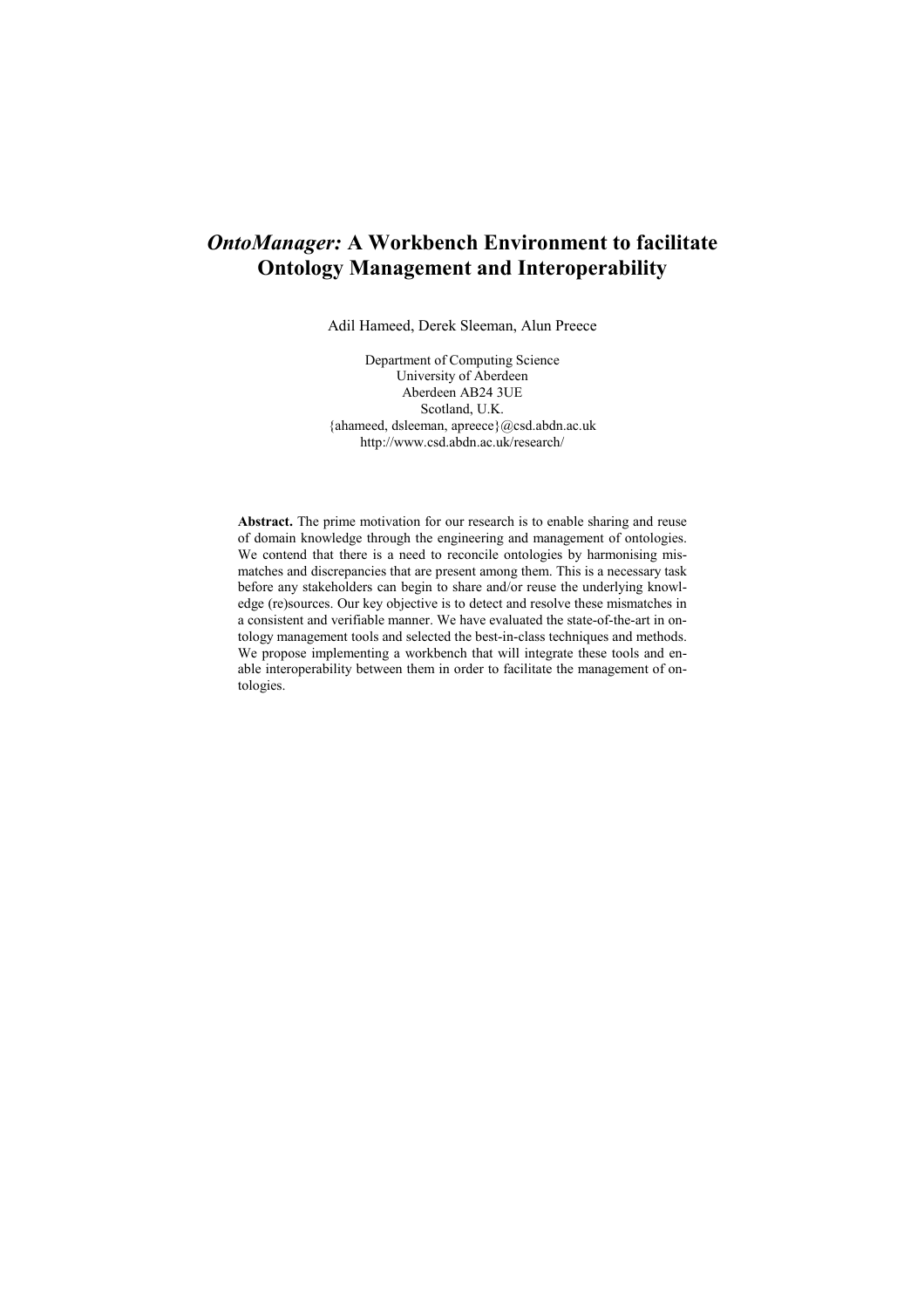# *OntoManager:* **A Workbench Environment to facilitate Ontology Management and Interoperability**

Adil Hameed, Derek Sleeman, Alun Preece

Department of Computing Science University of Aberdeen Aberdeen AB24 3UE Scotland, U.K. {ahameed, dsleeman, apreece}@csd.abdn.ac.uk http://www.csd.abdn.ac.uk/research/

**Abstract.** The prime motivation for our research is to enable sharing and reuse of domain knowledge through the engineering and management of ontologies. We contend that there is a need to reconcile ontologies by harmonising mismatches and discrepancies that are present among them. This is a necessary task before any stakeholders can begin to share and/or reuse the underlying knowledge (re)sources. Our key objective is to detect and resolve these mismatches in a consistent and verifiable manner. We have evaluated the state-of-the-art in ontology management tools and selected the best-in-class techniques and methods. We propose implementing a workbench that will integrate these tools and enable interoperability between them in order to facilitate the management of ontologies.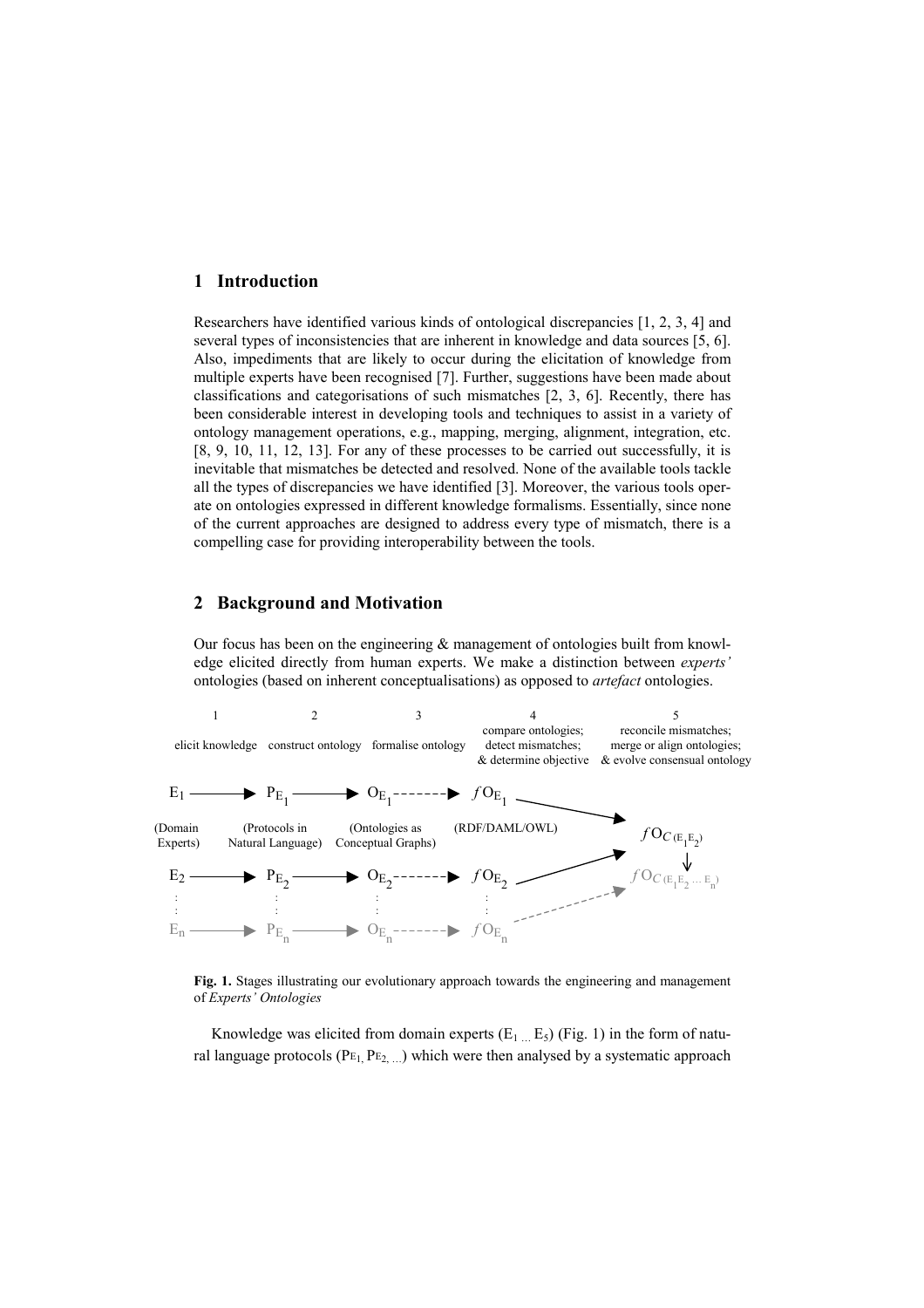### **1 Introduction**

Researchers have identified various kinds of ontological discrepancies [1, 2, 3, 4] and several types of inconsistencies that are inherent in knowledge and data sources [5, 6]. Also, impediments that are likely to occur during the elicitation of knowledge from multiple experts have been recognised [7]. Further, suggestions have been made about classifications and categorisations of such mismatches [2, 3, 6]. Recently, there has been considerable interest in developing tools and techniques to assist in a variety of ontology management operations, e.g., mapping, merging, alignment, integration, etc. [8, 9, 10, 11, 12, 13]. For any of these processes to be carried out successfully, it is inevitable that mismatches be detected and resolved. None of the available tools tackle all the types of discrepancies we have identified [3]. Moreover, the various tools operate on ontologies expressed in different knowledge formalisms. Essentially, since none of the current approaches are designed to address every type of mismatch, there is a compelling case for providing interoperability between the tools.

# **2 Background and Motivation**

Our focus has been on the engineering  $\&$  management of ontologies built from knowledge elicited directly from human experts. We make a distinction between *experts'* ontologies (based on inherent conceptualisations) as opposed to *artefact* ontologies.



**Fig. 1.** Stages illustrating our evolutionary approach towards the engineering and management of *Experts' Ontologies*

Knowledge was elicited from domain experts  $(E_1 \dots E_5)$  (Fig. 1) in the form of natural language protocols ( $PE<sub>1</sub>$ ,  $PE<sub>2</sub>$ ) which were then analysed by a systematic approach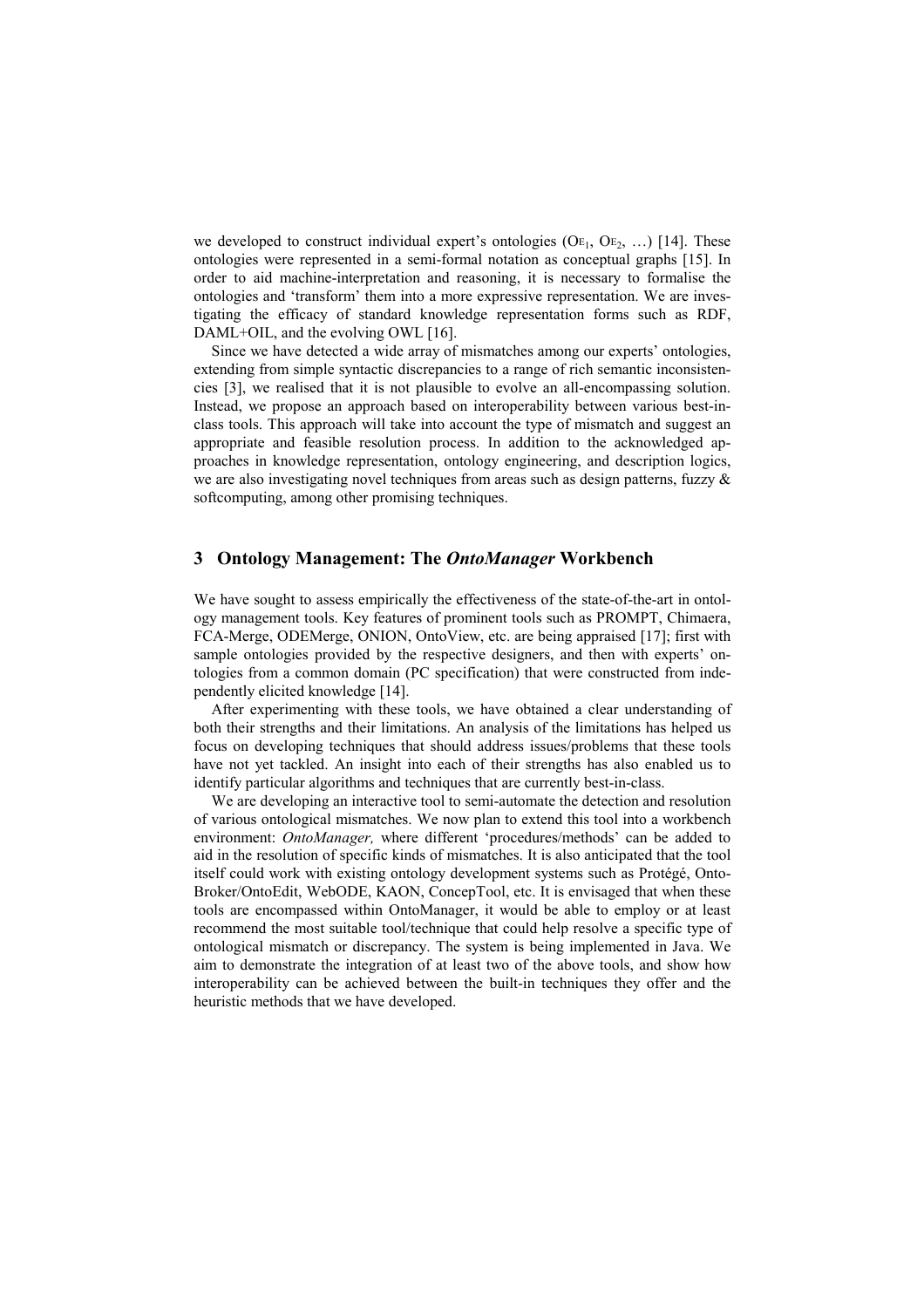we developed to construct individual expert's ontologies  $(OE_1, OE_2, ...)$  [14]. These ontologies were represented in a semi-formal notation as conceptual graphs [15]. In order to aid machine-interpretation and reasoning, it is necessary to formalise the ontologies and 'transform' them into a more expressive representation. We are investigating the efficacy of standard knowledge representation forms such as RDF, DAML+OIL, and the evolving OWL [16].

Since we have detected a wide array of mismatches among our experts' ontologies, extending from simple syntactic discrepancies to a range of rich semantic inconsistencies [3], we realised that it is not plausible to evolve an all-encompassing solution. Instead, we propose an approach based on interoperability between various best-inclass tools. This approach will take into account the type of mismatch and suggest an appropriate and feasible resolution process. In addition to the acknowledged approaches in knowledge representation, ontology engineering, and description logics, we are also investigating novel techniques from areas such as design patterns, fuzzy  $\&$ softcomputing, among other promising techniques.

## **3 Ontology Management: The** *OntoManager* **Workbench**

We have sought to assess empirically the effectiveness of the state-of-the-art in ontology management tools. Key features of prominent tools such as PROMPT, Chimaera, FCA-Merge, ODEMerge, ONION, OntoView, etc. are being appraised [17]; first with sample ontologies provided by the respective designers, and then with experts' ontologies from a common domain (PC specification) that were constructed from independently elicited knowledge [14].

After experimenting with these tools, we have obtained a clear understanding of both their strengths and their limitations. An analysis of the limitations has helped us focus on developing techniques that should address issues/problems that these tools have not yet tackled. An insight into each of their strengths has also enabled us to identify particular algorithms and techniques that are currently best-in-class.

We are developing an interactive tool to semi-automate the detection and resolution of various ontological mismatches. We now plan to extend this tool into a workbench environment: *OntoManager,* where different 'procedures/methods' can be added to aid in the resolution of specific kinds of mismatches. It is also anticipated that the tool itself could work with existing ontology development systems such as Protégé, Onto-Broker/OntoEdit, WebODE, KAON, ConcepTool, etc. It is envisaged that when these tools are encompassed within OntoManager, it would be able to employ or at least recommend the most suitable tool/technique that could help resolve a specific type of ontological mismatch or discrepancy. The system is being implemented in Java. We aim to demonstrate the integration of at least two of the above tools, and show how interoperability can be achieved between the built-in techniques they offer and the heuristic methods that we have developed.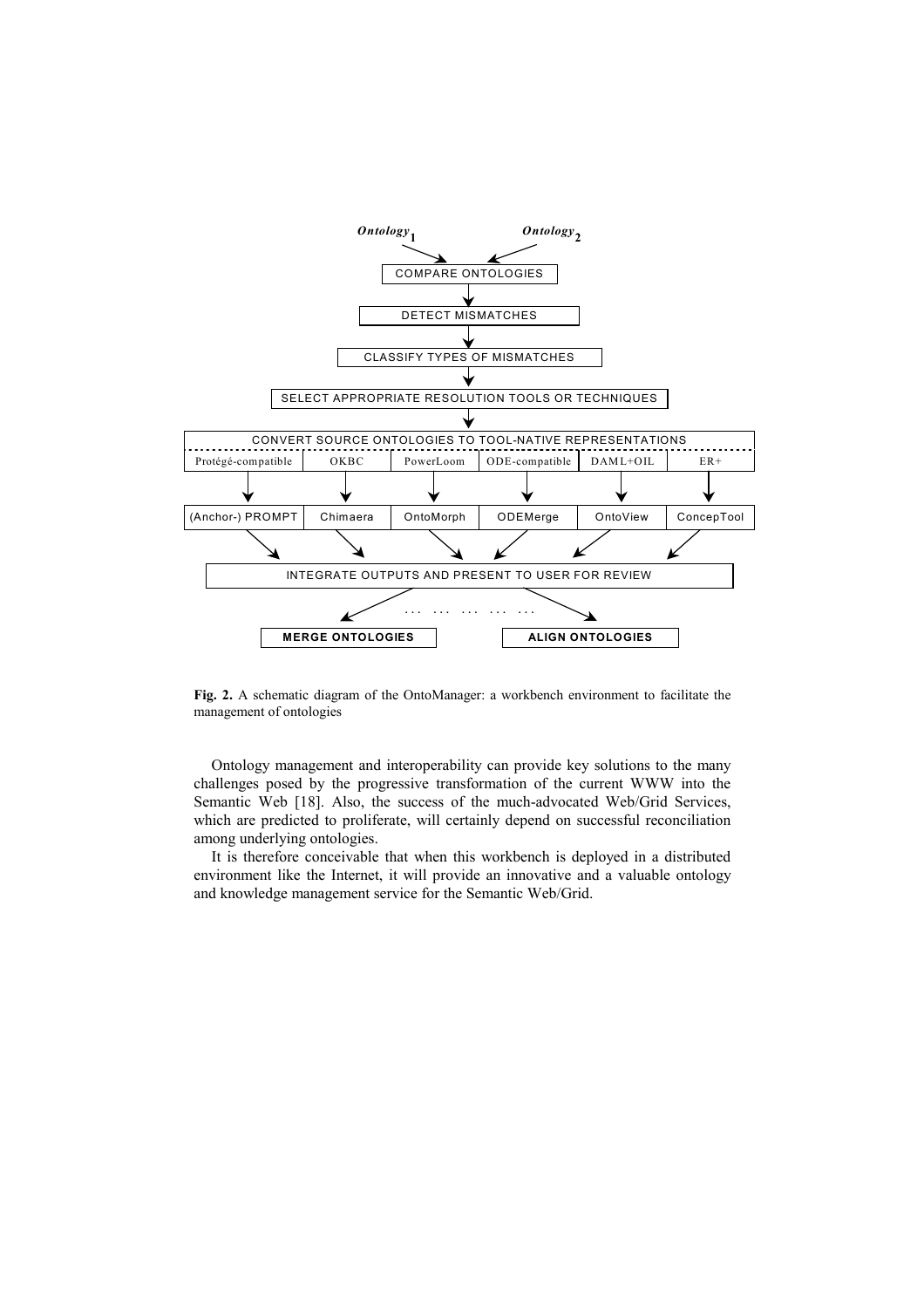

**Fig. 2.** A schematic diagram of the OntoManager: a workbench environment to facilitate the management of ontologies

Ontology management and interoperability can provide key solutions to the many challenges posed by the progressive transformation of the current WWW into the Semantic Web [18]. Also, the success of the much-advocated Web/Grid Services, which are predicted to proliferate, will certainly depend on successful reconciliation among underlying ontologies.

It is therefore conceivable that when this workbench is deployed in a distributed environment like the Internet, it will provide an innovative and a valuable ontology and knowledge management service for the Semantic Web/Grid.